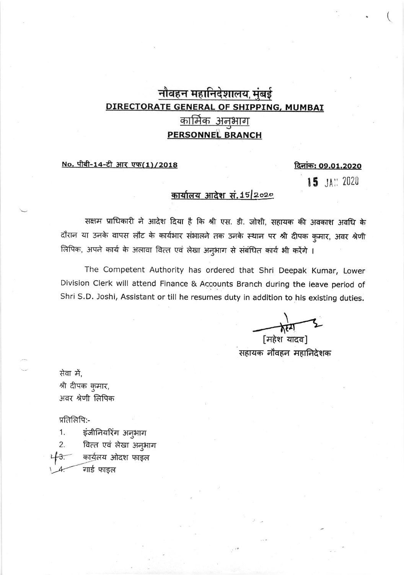## नौवहन महानिदेशालय, मुंबई DIRECTORATE GENERAL OF SHIPPING, MUMBAI <u>कार्मिक अनुभाग</u> **PERSONNEL BRANCH**

### No. पीबी-14-टी आर एफ(1)/2018

#### <u>दिनांक: 09.01.2020</u>

15 JAN 2020

### कार्यालय आदेश सं. 15/2020

सक्षम प्राधिकारी ने आदेश दिया है कि श्री एस. डी. जोशी, सहायक की अवकाश अवधि के दौरान या उनके वापस लौट के कार्यभार संभालने तक उनके स्थान पर श्री दीपक कुमार, अवर श्रेणी लिपिक, अपने कार्य के अलावा वित्त एवं लेखा अनुभाग से संबंधित कार्य भी करेंगे ।

The Competent Authority has ordered that Shri Deepak Kumar, Lower Division Clerk will attend Finance & Accounts Branch during the leave period of Shri S.D. Joshi, Assistant or till he resumes duty in addition to his existing duties.

[महेश यादव] सहायक नौवहन महानिदेशक

सेवा में, श्री दीपक कुमार, अवर श्रेणी लिपिक

प्रतिलिपि:-

1. इंजीनियरिंग अनुभाग

वित्त एवं लेखा अनुभाग  $2.$ कार्युलय ओदश फाइल  $\overline{\mathbf{3}}$ 

गार्ड फाइल